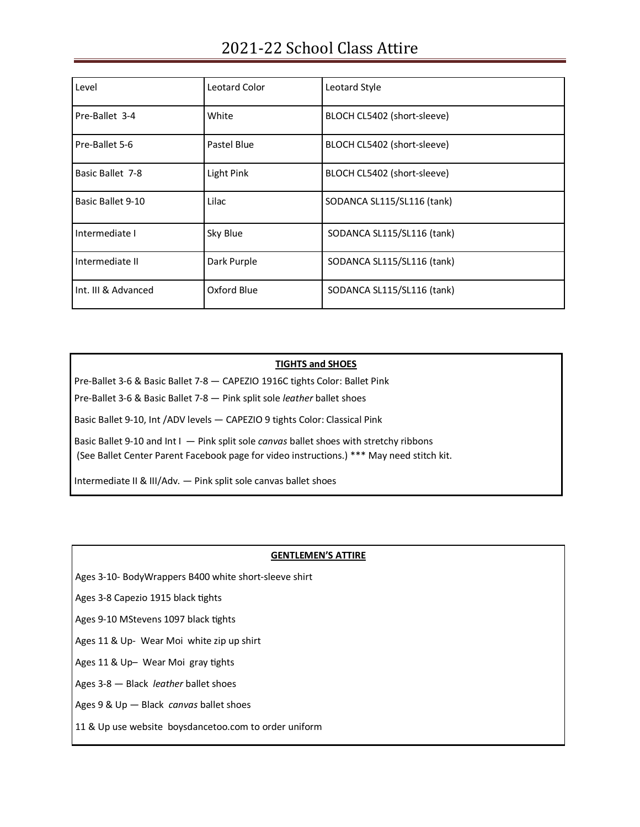| Level               | Leotard Color | Leotard Style               |
|---------------------|---------------|-----------------------------|
| Pre-Ballet 3-4      | White         | BLOCH CL5402 (short-sleeve) |
| Pre-Ballet 5-6      | Pastel Blue   | BLOCH CL5402 (short-sleeve) |
| Basic Ballet 7-8    | Light Pink    | BLOCH CL5402 (short-sleeve) |
| Basic Ballet 9-10   | Lilac         | SODANCA SL115/SL116 (tank)  |
| Intermediate I      | Sky Blue      | SODANCA SL115/SL116 (tank)  |
| Intermediate II     | Dark Purple   | SODANCA SL115/SL116 (tank)  |
| Int. III & Advanced | Oxford Blue   | SODANCA SL115/SL116 (tank)  |

## **TIGHTS and SHOES**

Pre-Ballet 3-6 & Basic Ballet 7-8 — CAPEZIO 1916C tights Color: Ballet Pink

Pre-Ballet 3-6 & Basic Ballet 7-8 — Pink split sole *leather* ballet shoes

Basic Ballet 9-10, Int /ADV levels — CAPEZIO 9 tights Color: Classical Pink

Basic Ballet 9-10 and Int I — Pink split sole *canvas* ballet shoes with stretchy ribbons

(See Ballet Center Parent Facebook page for video instructions.) \*\*\* May need stitch kit.

Intermediate II & III/Adv. — Pink split sole canvas ballet shoes

## **GENTLEMEN'S ATTIRE**

Ages 3-10- BodyWrappers B400 white short-sleeve shirt

Ages 3-8 Capezio 1915 black tights

Ages 9-10 MStevens 1097 black tights

Ages 11 & Up- Wear Moi white zip up shirt

Ages 11 & Up– Wear Moi gray tights

Ages 3-8 — Black *leather* ballet shoes

Ages 9 & Up — Black *canvas* ballet shoes

11 & Up use website boysdancetoo.com to order uniform